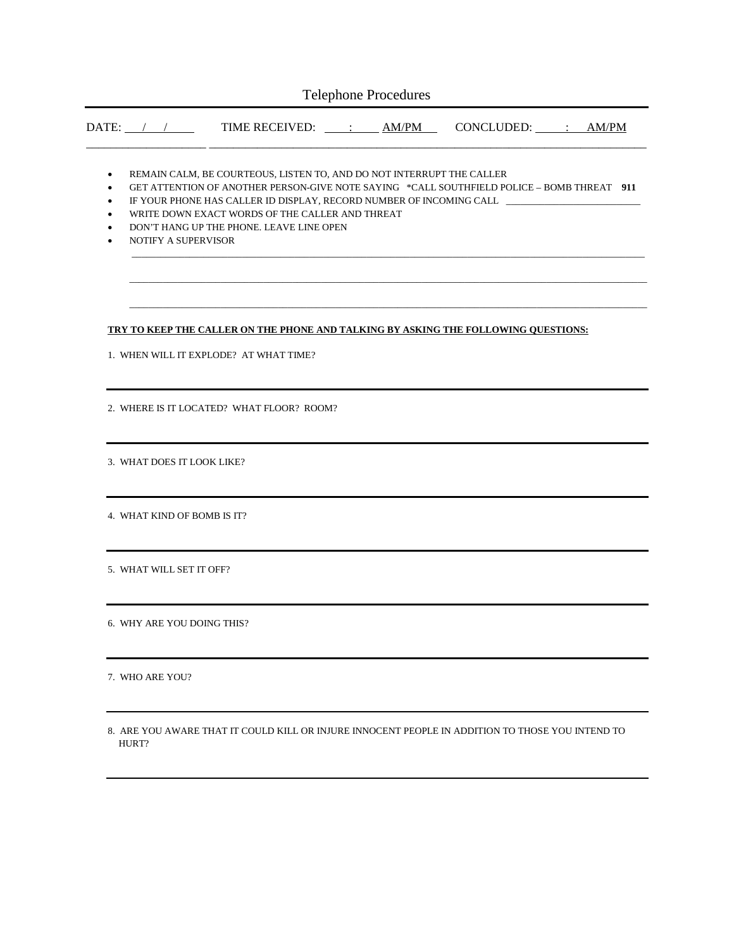|                                                            |                                                                                                  | DATE: / / TIME RECEIVED: <u>: AM/PM</u> CONCLUDED: : AM/PM                                                                                                                                                                                                                                                                                                    |  |  |
|------------------------------------------------------------|--------------------------------------------------------------------------------------------------|---------------------------------------------------------------------------------------------------------------------------------------------------------------------------------------------------------------------------------------------------------------------------------------------------------------------------------------------------------------|--|--|
| $\bullet$<br>٠<br>٠<br>$\bullet$<br>$\bullet$<br>$\bullet$ | NOTIFY A SUPERVISOR                                                                              | REMAIN CALM, BE COURTEOUS, LISTEN TO, AND DO NOT INTERRUPT THE CALLER<br>GET ATTENTION OF ANOTHER PERSON-GIVE NOTE SAYING *CALL SOUTHFIELD POLICE - BOMB THREAT 911<br>IF YOUR PHONE HAS CALLER ID DISPLAY, RECORD NUMBER OF INCOMING CALL ___________________<br>WRITE DOWN EXACT WORDS OF THE CALLER AND THREAT<br>DON'T HANG UP THE PHONE. LEAVE LINE OPEN |  |  |
|                                                            |                                                                                                  | TRY TO KEEP THE CALLER ON THE PHONE AND TALKING BY ASKING THE FOLLOWING QUESTIONS:<br>1. WHEN WILL IT EXPLODE? AT WHAT TIME?                                                                                                                                                                                                                                  |  |  |
|                                                            |                                                                                                  | 2. WHERE IS IT LOCATED? WHAT FLOOR? ROOM?                                                                                                                                                                                                                                                                                                                     |  |  |
|                                                            | 3. WHAT DOES IT LOOK LIKE?                                                                       |                                                                                                                                                                                                                                                                                                                                                               |  |  |
|                                                            | 4. WHAT KIND OF BOMB IS IT?                                                                      |                                                                                                                                                                                                                                                                                                                                                               |  |  |
|                                                            | 5. WHAT WILL SET IT OFF?                                                                         |                                                                                                                                                                                                                                                                                                                                                               |  |  |
|                                                            | 6. WHY ARE YOU DOING THIS?                                                                       |                                                                                                                                                                                                                                                                                                                                                               |  |  |
|                                                            | 7. WHO ARE YOU?                                                                                  |                                                                                                                                                                                                                                                                                                                                                               |  |  |
|                                                            | 8. ARE YOU AWARE THAT IT COULD KILL OR INJURE INNOCENT PEOPLE IN ADDITION TO THOSE YOU INTEND TO |                                                                                                                                                                                                                                                                                                                                                               |  |  |